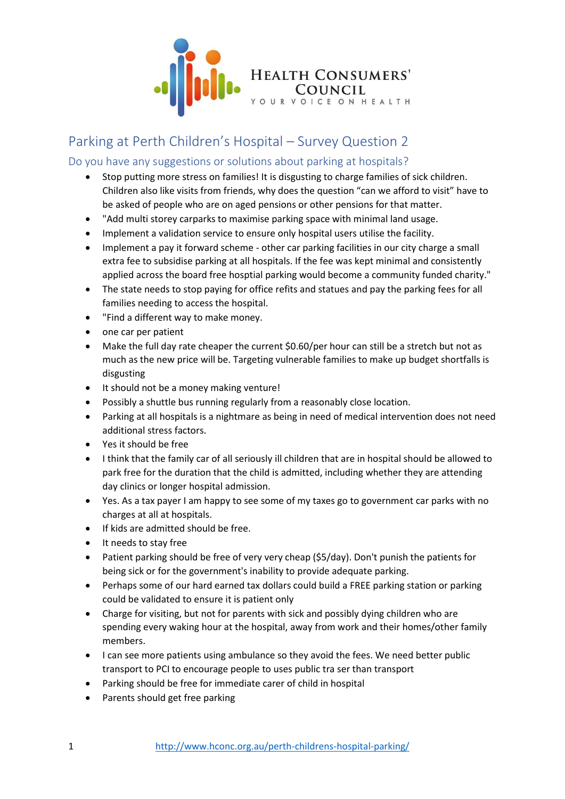

## Parking at Perth Children's Hospital – Survey Question 2

## Do you have any suggestions or solutions about parking at hospitals?

- Stop putting more stress on families! It is disgusting to charge families of sick children. Children also like visits from friends, why does the question "can we afford to visit" have to be asked of people who are on aged pensions or other pensions for that matter.
- "Add multi storey carparks to maximise parking space with minimal land usage.
- Implement a validation service to ensure only hospital users utilise the facility.
- Implement a pay it forward scheme other car parking facilities in our city charge a small extra fee to subsidise parking at all hospitals. If the fee was kept minimal and consistently applied across the board free hosptial parking would become a community funded charity."
- The state needs to stop paying for office refits and statues and pay the parking fees for all families needing to access the hospital.
- "Find a different way to make money.
- one car per patient
- Make the full day rate cheaper the current \$0.60/per hour can still be a stretch but not as much as the new price will be. Targeting vulnerable families to make up budget shortfalls is disgusting
- It should not be a money making venture!
- Possibly a shuttle bus running regularly from a reasonably close location.
- Parking at all hospitals is a nightmare as being in need of medical intervention does not need additional stress factors.
- Yes it should be free
- I think that the family car of all seriously ill children that are in hospital should be allowed to park free for the duration that the child is admitted, including whether they are attending day clinics or longer hospital admission.
- Yes. As a tax payer I am happy to see some of my taxes go to government car parks with no charges at all at hospitals.
- If kids are admitted should be free.
- It needs to stay free
- Patient parking should be free of very very cheap (\$5/day). Don't punish the patients for being sick or for the government's inability to provide adequate parking.
- Perhaps some of our hard earned tax dollars could build a FREE parking station or parking could be validated to ensure it is patient only
- Charge for visiting, but not for parents with sick and possibly dying children who are spending every waking hour at the hospital, away from work and their homes/other family members.
- I can see more patients using ambulance so they avoid the fees. We need better public transport to PCI to encourage people to uses public tra ser than transport
- Parking should be free for immediate carer of child in hospital
- Parents should get free parking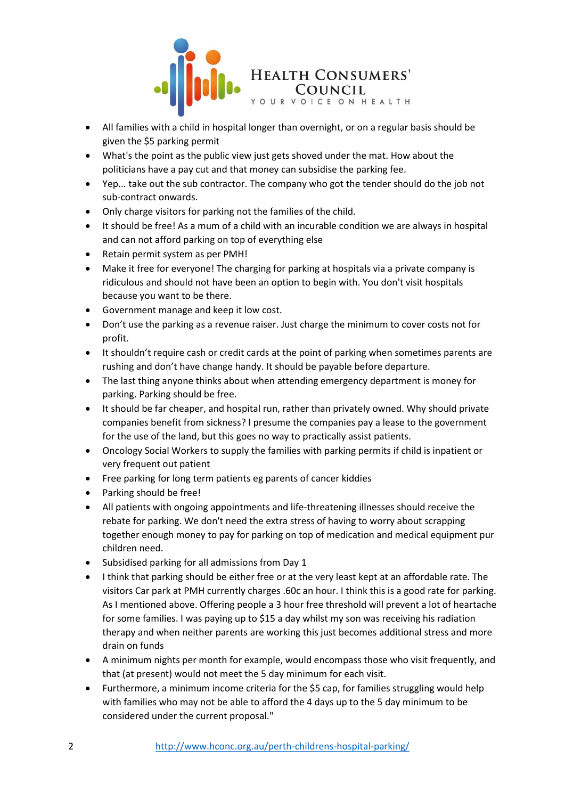

- All families with a child in hospital longer than overnight, or on a regular basis should be given the \$5 parking permit
- What's the point as the public view just gets shoved under the mat. How about the politicians have a pay cut and that money can subsidise the parking fee.
- Yep... take out the sub contractor. The company who got the tender should do the job not sub-contract onwards.
- Only charge visitors for parking not the families of the child.
- It should be free! As a mum of a child with an incurable condition we are always in hospital and can not afford parking on top of everything else
- Retain permit system as per PMH!
- Make it free for everyone! The charging for parking at hospitals via a private company is ridiculous and should not have been an option to begin with. You don't visit hospitals because you want to be there.
- Government manage and keep it low cost.
- Don't use the parking as a revenue raiser. Just charge the minimum to cover costs not for profit.
- It shouldn't require cash or credit cards at the point of parking when sometimes parents are rushing and don't have change handy. It should be payable before departure.
- The last thing anyone thinks about when attending emergency department is money for parking. Parking should be free.
- It should be far cheaper, and hospital run, rather than privately owned. Why should private companies benefit from sickness? I presume the companies pay a lease to the government for the use of the land, but this goes no way to practically assist patients.
- Oncology Social Workers to supply the families with parking permits if child is inpatient or very frequent out patient
- Free parking for long term patients eg parents of cancer kiddies
- Parking should be free!
- All patients with ongoing appointments and life-threatening illnesses should receive the rebate for parking. We don't need the extra stress of having to worry about scrapping together enough money to pay for parking on top of medication and medical equipment pur children need.
- Subsidised parking for all admissions from Day 1
- I think that parking should be either free or at the very least kept at an affordable rate. The visitors Car park at PMH currently charges .60c an hour. I think this is a good rate for parking. As I mentioned above. Offering people a 3 hour free threshold will prevent a lot of heartache for some families. I was paying up to \$15 a day whilst my son was receiving his radiation therapy and when neither parents are working this just becomes additional stress and more drain on funds
- A minimum nights per month for example, would encompass those who visit frequently, and that (at present) would not meet the 5 day minimum for each visit.
- Furthermore, a minimum income criteria for the \$5 cap, for families struggling would help with families who may not be able to afford the 4 days up to the 5 day minimum to be considered under the current proposal."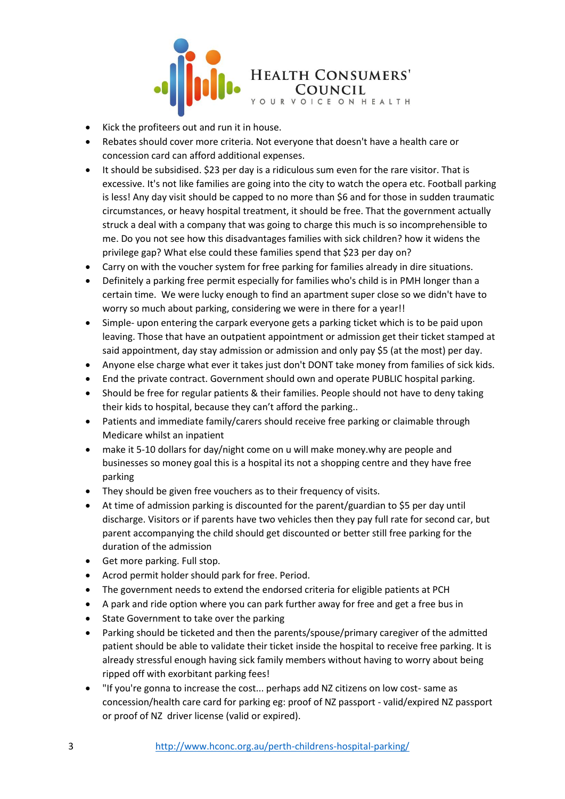

- Kick the profiteers out and run it in house.
- Rebates should cover more criteria. Not everyone that doesn't have a health care or concession card can afford additional expenses.
- It should be subsidised. \$23 per day is a ridiculous sum even for the rare visitor. That is excessive. It's not like families are going into the city to watch the opera etc. Football parking is less! Any day visit should be capped to no more than \$6 and for those in sudden traumatic circumstances, or heavy hospital treatment, it should be free. That the government actually struck a deal with a company that was going to charge this much is so incomprehensible to me. Do you not see how this disadvantages families with sick children? how it widens the privilege gap? What else could these families spend that \$23 per day on?
- Carry on with the voucher system for free parking for families already in dire situations.
- Definitely a parking free permit especially for families who's child is in PMH longer than a certain time. We were lucky enough to find an apartment super close so we didn't have to worry so much about parking, considering we were in there for a year!!
- Simple- upon entering the carpark everyone gets a parking ticket which is to be paid upon leaving. Those that have an outpatient appointment or admission get their ticket stamped at said appointment, day stay admission or admission and only pay \$5 (at the most) per day.
- Anyone else charge what ever it takes just don't DONT take money from families of sick kids.
- End the private contract. Government should own and operate PUBLIC hospital parking.
- Should be free for regular patients & their families. People should not have to deny taking their kids to hospital, because they can't afford the parking..
- Patients and immediate family/carers should receive free parking or claimable through Medicare whilst an inpatient
- make it 5-10 dollars for day/night come on u will make money.why are people and businesses so money goal this is a hospital its not a shopping centre and they have free parking
- They should be given free vouchers as to their frequency of visits.
- At time of admission parking is discounted for the parent/guardian to \$5 per day until discharge. Visitors or if parents have two vehicles then they pay full rate for second car, but parent accompanying the child should get discounted or better still free parking for the duration of the admission
- Get more parking. Full stop.
- Acrod permit holder should park for free. Period.
- The government needs to extend the endorsed criteria for eligible patients at PCH
- A park and ride option where you can park further away for free and get a free bus in
- State Government to take over the parking
- Parking should be ticketed and then the parents/spouse/primary caregiver of the admitted patient should be able to validate their ticket inside the hospital to receive free parking. It is already stressful enough having sick family members without having to worry about being ripped off with exorbitant parking fees!
- "If you're gonna to increase the cost... perhaps add NZ citizens on low cost- same as concession/health care card for parking eg: proof of NZ passport - valid/expired NZ passport or proof of NZ driver license (valid or expired).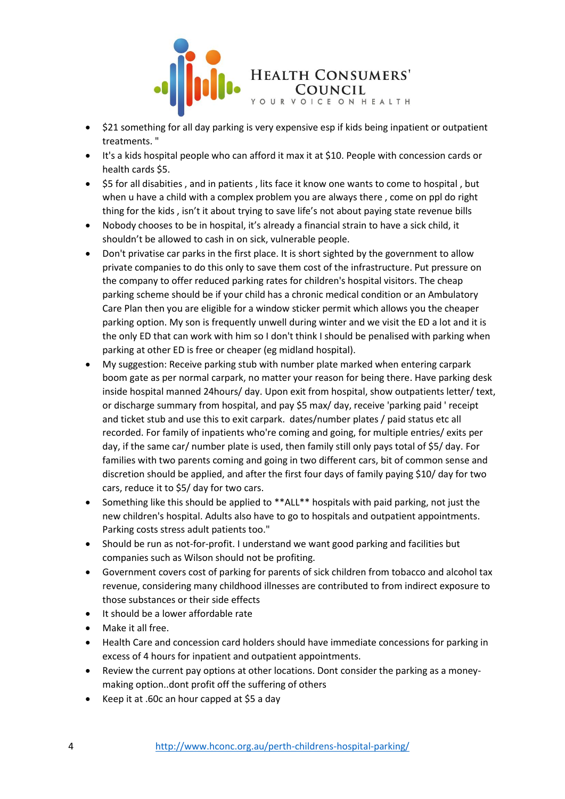

- \$21 something for all day parking is very expensive esp if kids being inpatient or outpatient treatments. "
- It's a kids hospital people who can afford it max it at \$10. People with concession cards or health cards \$5.
- \$5 for all disabities , and in patients , lits face it know one wants to come to hospital , but when u have a child with a complex problem you are always there , come on ppl do right thing for the kids , isn't it about trying to save life's not about paying state revenue bills
- Nobody chooses to be in hospital, it's already a financial strain to have a sick child, it shouldn't be allowed to cash in on sick, vulnerable people.
- Don't privatise car parks in the first place. It is short sighted by the government to allow private companies to do this only to save them cost of the infrastructure. Put pressure on the company to offer reduced parking rates for children's hospital visitors. The cheap parking scheme should be if your child has a chronic medical condition or an Ambulatory Care Plan then you are eligible for a window sticker permit which allows you the cheaper parking option. My son is frequently unwell during winter and we visit the ED a lot and it is the only ED that can work with him so I don't think I should be penalised with parking when parking at other ED is free or cheaper (eg midland hospital).
- My suggestion: Receive parking stub with number plate marked when entering carpark boom gate as per normal carpark, no matter your reason for being there. Have parking desk inside hospital manned 24hours/ day. Upon exit from hospital, show outpatients letter/ text, or discharge summary from hospital, and pay \$5 max/ day, receive 'parking paid ' receipt and ticket stub and use this to exit carpark. dates/number plates / paid status etc all recorded. For family of inpatients who're coming and going, for multiple entries/ exits per day, if the same car/ number plate is used, then family still only pays total of \$5/ day. For families with two parents coming and going in two different cars, bit of common sense and discretion should be applied, and after the first four days of family paying \$10/ day for two cars, reduce it to \$5/ day for two cars.
- Something like this should be applied to \*\*ALL\*\* hospitals with paid parking, not just the new children's hospital. Adults also have to go to hospitals and outpatient appointments. Parking costs stress adult patients too."
- Should be run as not-for-profit. I understand we want good parking and facilities but companies such as Wilson should not be profiting.
- Government covers cost of parking for parents of sick children from tobacco and alcohol tax revenue, considering many childhood illnesses are contributed to from indirect exposure to those substances or their side effects
- It should be a lower affordable rate
- Make it all free.
- Health Care and concession card holders should have immediate concessions for parking in excess of 4 hours for inpatient and outpatient appointments.
- Review the current pay options at other locations. Dont consider the parking as a moneymaking option..dont profit off the suffering of others
- Keep it at .60c an hour capped at \$5 a day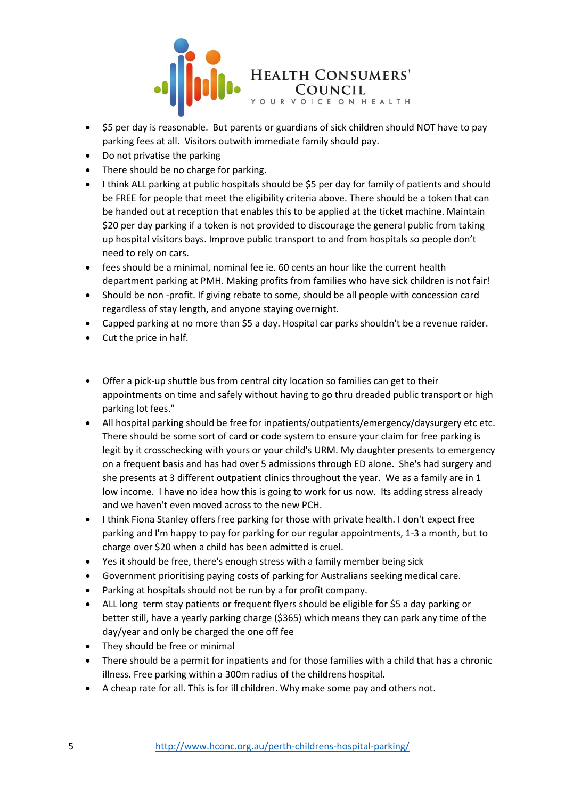

- \$5 per day is reasonable. But parents or guardians of sick children should NOT have to pay parking fees at all. Visitors outwith immediate family should pay.
- Do not privatise the parking
- There should be no charge for parking.
- I think ALL parking at public hospitals should be \$5 per day for family of patients and should be FREE for people that meet the eligibility criteria above. There should be a token that can be handed out at reception that enables this to be applied at the ticket machine. Maintain \$20 per day parking if a token is not provided to discourage the general public from taking up hospital visitors bays. Improve public transport to and from hospitals so people don't need to rely on cars.
- fees should be a minimal, nominal fee ie. 60 cents an hour like the current health department parking at PMH. Making profits from families who have sick children is not fair!
- Should be non -profit. If giving rebate to some, should be all people with concession card regardless of stay length, and anyone staying overnight.
- Capped parking at no more than \$5 a day. Hospital car parks shouldn't be a revenue raider.
- Cut the price in half.
- Offer a pick-up shuttle bus from central city location so families can get to their appointments on time and safely without having to go thru dreaded public transport or high parking lot fees."
- All hospital parking should be free for inpatients/outpatients/emergency/daysurgery etc etc. There should be some sort of card or code system to ensure your claim for free parking is legit by it crosschecking with yours or your child's URM. My daughter presents to emergency on a frequent basis and has had over 5 admissions through ED alone. She's had surgery and she presents at 3 different outpatient clinics throughout the year. We as a family are in 1 low income. I have no idea how this is going to work for us now. Its adding stress already and we haven't even moved across to the new PCH.
- I think Fiona Stanley offers free parking for those with private health. I don't expect free parking and I'm happy to pay for parking for our regular appointments, 1-3 a month, but to charge over \$20 when a child has been admitted is cruel.
- Yes it should be free, there's enough stress with a family member being sick
- Government prioritising paying costs of parking for Australians seeking medical care.
- Parking at hospitals should not be run by a for profit company.
- ALL long term stay patients or frequent flyers should be eligible for \$5 a day parking or better still, have a yearly parking charge (\$365) which means they can park any time of the day/year and only be charged the one off fee
- They should be free or minimal
- There should be a permit for inpatients and for those families with a child that has a chronic illness. Free parking within a 300m radius of the childrens hospital.
- A cheap rate for all. This is for ill children. Why make some pay and others not.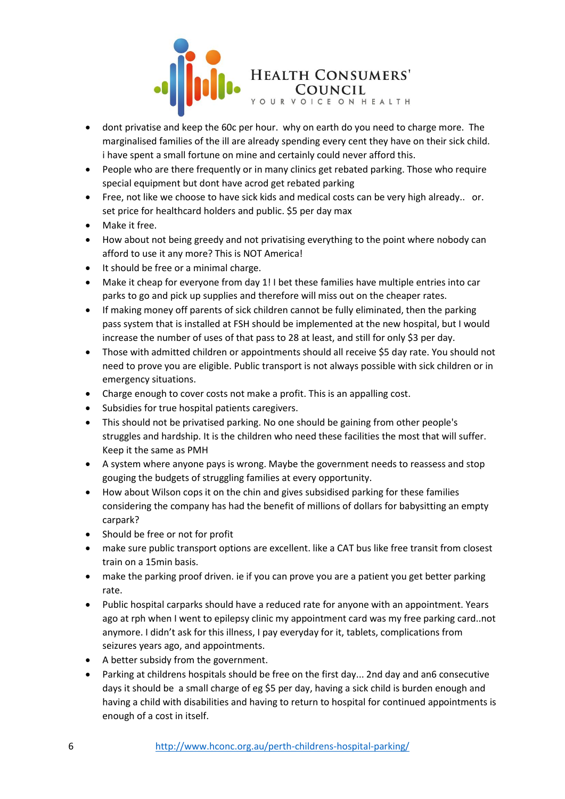

- dont privatise and keep the 60c per hour. why on earth do you need to charge more. The marginalised families of the ill are already spending every cent they have on their sick child. i have spent a small fortune on mine and certainly could never afford this.
- People who are there frequently or in many clinics get rebated parking. Those who require special equipment but dont have acrod get rebated parking
- Free, not like we choose to have sick kids and medical costs can be very high already.. or. set price for healthcard holders and public. \$5 per day max
- Make it free.
- How about not being greedy and not privatising everything to the point where nobody can afford to use it any more? This is NOT America!
- It should be free or a minimal charge.
- Make it cheap for everyone from day 1! I bet these families have multiple entries into car parks to go and pick up supplies and therefore will miss out on the cheaper rates.
- If making money off parents of sick children cannot be fully eliminated, then the parking pass system that is installed at FSH should be implemented at the new hospital, but I would increase the number of uses of that pass to 28 at least, and still for only \$3 per day.
- Those with admitted children or appointments should all receive \$5 day rate. You should not need to prove you are eligible. Public transport is not always possible with sick children or in emergency situations.
- Charge enough to cover costs not make a profit. This is an appalling cost.
- Subsidies for true hospital patients caregivers.
- This should not be privatised parking. No one should be gaining from other people's struggles and hardship. It is the children who need these facilities the most that will suffer. Keep it the same as PMH
- A system where anyone pays is wrong. Maybe the government needs to reassess and stop gouging the budgets of struggling families at every opportunity.
- How about Wilson cops it on the chin and gives subsidised parking for these families considering the company has had the benefit of millions of dollars for babysitting an empty carpark?
- Should be free or not for profit
- make sure public transport options are excellent. like a CAT bus like free transit from closest train on a 15min basis.
- make the parking proof driven. ie if you can prove you are a patient you get better parking rate.
- Public hospital carparks should have a reduced rate for anyone with an appointment. Years ago at rph when I went to epilepsy clinic my appointment card was my free parking card..not anymore. I didn't ask for this illness, I pay everyday for it, tablets, complications from seizures years ago, and appointments.
- A better subsidy from the government.
- Parking at childrens hospitals should be free on the first day... 2nd day and an6 consecutive days it should be a small charge of eg \$5 per day, having a sick child is burden enough and having a child with disabilities and having to return to hospital for continued appointments is enough of a cost in itself.